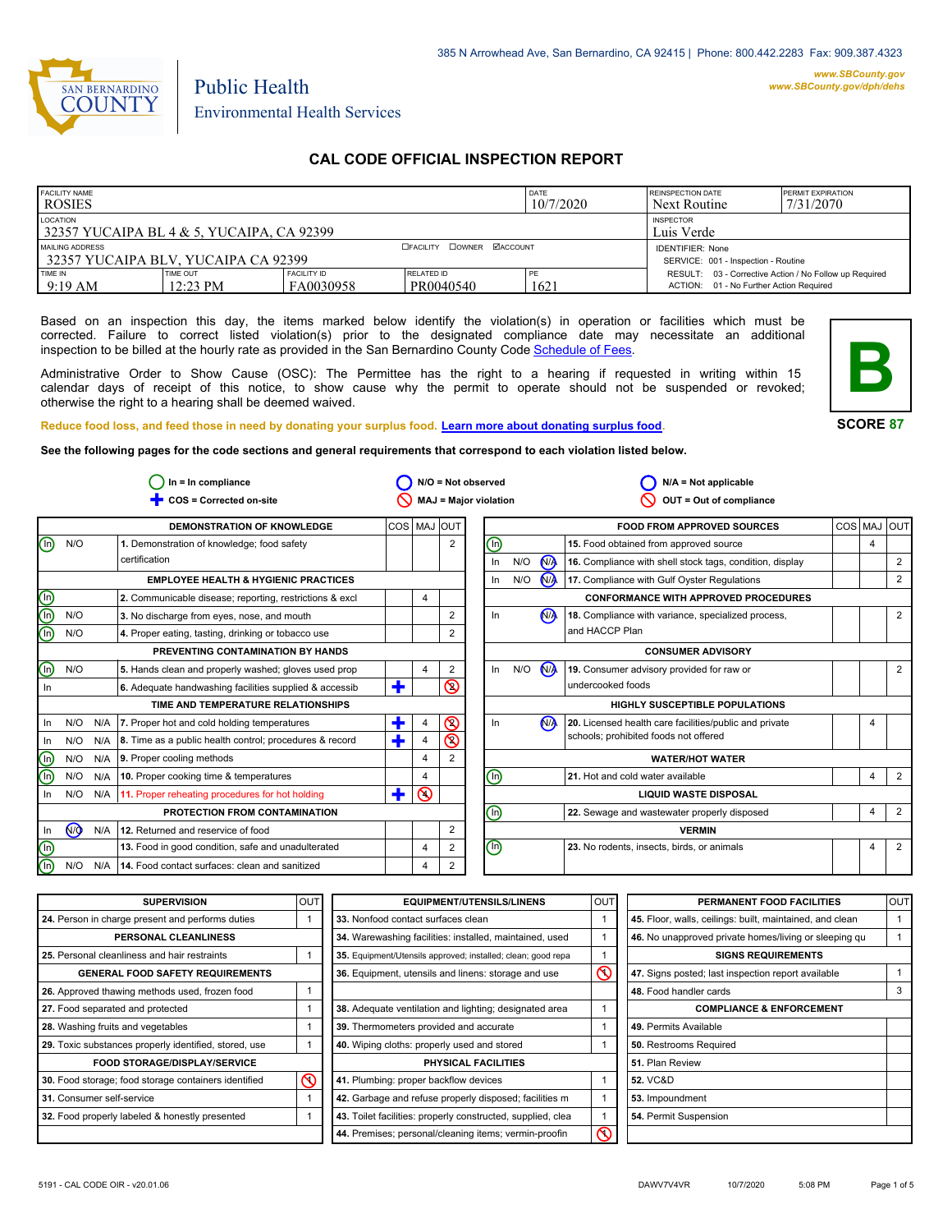

# Public Health Environmental Health Services

## **CAL CODE OFFICIAL INSPECTION REPORT**

| <b>FACILITY NAME</b><br><b>ROSIES</b>                                                                 |                                |                                 |                         | <b>DATE</b><br>10/7/2020 | <b>REINSPECTION DATE</b><br>Next Routine                                                          | <b>PERMIT EXPIRATION</b><br>7/31/2070 |
|-------------------------------------------------------------------------------------------------------|--------------------------------|---------------------------------|-------------------------|--------------------------|---------------------------------------------------------------------------------------------------|---------------------------------------|
| LOCATION<br>32357 YUCAIPA BL 4 & 5, YUCAIPA, CA 92399                                                 |                                | <b>INSPECTOR</b><br>Luis Verde  |                         |                          |                                                                                                   |                                       |
| <b>DOWNER MACCOUNT</b><br>MAILING ADDRESS<br><b>EFACILITY</b><br>132357 YUCAIPA BLV. YUCAIPA CA 92399 |                                |                                 |                         |                          | <b>IDENTIFIER: None</b><br>SERVICE: 001 - Inspection - Routine                                    |                                       |
| TIME IN<br>$9:19 \text{ AM}$                                                                          | TIME OUT<br>$12:23 \text{ PM}$ | <b>FACILITY ID</b><br>FA0030958 | RELATED ID<br>PR0040540 | 1621                     | RESULT: 03 - Corrective Action / No Follow up Required<br>ACTION: 01 - No Further Action Required |                                       |

Based on an inspection this day, the items marked below identify the violation(s) in operation or facilities which must be corrected. Failure to correct listed violation(s) prior to the designated compliance date may necessitate an additional inspection to be billed at the hourly rate as provided in the San Bernardino County Co[de Schedule of Fees.](http://www.amlegal.com/nxt/gateway.dll/California/sanbernardinocounty_ca/title1governmentandadministration/division6countyfees/chapter2scheduleoffees?f=templates$fn=default.htm$3.0$vid=amlegal:sanbernardinocounty_ca$anc=JD_16.0213B)

Administrative Order to Show Cause (OSC): The Permittee has the right to a hearing if requested in writing within 15 calendar days of receipt of this notice, to show cause why the permit to operate should not be suspended or revoked; otherwise the right to a hearing shall be deemed waived.



#### **SCORE 87**

**Reduce food loss, and feed those in need by donating your surplus f[ood. Learn more about donating surplus food.](http://wp.sbcounty.gov/dph/programs/ehs/food-facilities/) See the following pages for the code sections and general requirements that correspond to each violation listed below.**

|                                |                |     | $In = In$ compliance                                    |   |                |                | $N/O = Not observed$           |     |                      | $N/A = Not applicable$                                   |     |   |                |
|--------------------------------|----------------|-----|---------------------------------------------------------|---|----------------|----------------|--------------------------------|-----|----------------------|----------------------------------------------------------|-----|---|----------------|
|                                |                |     | COS = Corrected on-site                                 |   |                |                | <b>MAJ = Major violation</b>   |     |                      | OUT = Out of compliance                                  |     |   |                |
|                                |                |     | <b>DEMONSTRATION OF KNOWLEDGE</b>                       |   | COS MAJ OUT    |                |                                |     |                      | <b>FOOD FROM APPROVED SOURCES</b>                        | COS |   | <b>MAJ OUT</b> |
| ௵                              | N/O            |     | 1. Demonstration of knowledge; food safety              |   |                | $\overline{2}$ | ⋒                              |     |                      | 15. Food obtained from approved source                   |     | 4 |                |
|                                |                |     | certification                                           |   |                |                | In                             | N/O | N <sub>A</sub>       | 16. Compliance with shell stock tags, condition, display |     |   | $\overline{2}$ |
|                                |                |     | <b>EMPLOYEE HEALTH &amp; HYGIENIC PRACTICES</b>         |   |                |                | In                             | N/O | <b>N<sub>A</sub></b> | 17. Compliance with Gulf Oyster Regulations              |     |   | 2              |
| $\circledcirc$                 |                |     | 2. Communicable disease; reporting, restrictions & excl |   | 4              |                |                                |     |                      | <b>CONFORMANCE WITH APPROVED PROCEDURES</b>              |     |   |                |
| $\bar{\text{\emph{O}}}$        | N/O            |     | 3. No discharge from eyes, nose, and mouth              |   |                | 2              | In                             |     | <b>N<sub>A</sub></b> | 18. Compliance with variance, specialized process,       |     |   | $\overline{2}$ |
| ந                              | N/O            |     | 4. Proper eating, tasting, drinking or tobacco use      |   |                | 2              |                                |     |                      | and HACCP Plan                                           |     |   |                |
|                                |                |     | PREVENTING CONTAMINATION BY HANDS                       |   |                |                |                                |     |                      | <b>CONSUMER ADVISORY</b>                                 |     |   |                |
| டு                             | N/O            |     | 5. Hands clean and properly washed; gloves used prop    |   | 4              | 2              | In                             | N/O | N <sub>/</sub>       | 19. Consumer advisory provided for raw or                |     |   | $\overline{2}$ |
| In                             |                |     | 6. Adequate handwashing facilities supplied & accessib  | ٠ |                | $\circledcirc$ |                                |     |                      | undercooked foods                                        |     |   |                |
|                                |                |     | TIME AND TEMPERATURE RELATIONSHIPS                      |   |                |                |                                |     |                      | <b>HIGHLY SUSCEPTIBLE POPULATIONS</b>                    |     |   |                |
| In.                            | N/O            | N/A | 7. Proper hot and cold holding temperatures             | Ŧ |                | $\circledcirc$ | In                             |     | $\mathbf{M}$         | 20. Licensed health care facilities/public and private   |     | 4 |                |
| In.                            | N/O            | N/A | 8. Time as a public health control; procedures & record | ╋ | 4              | $\circledcirc$ |                                |     |                      | schools; prohibited foods not offered                    |     |   |                |
| $\textcircled{\scriptsize{1}}$ | N/O            | N/A | 9. Proper cooling methods                               |   | $\overline{4}$ | 2              |                                |     |                      | <b>WATER/HOT WATER</b>                                   |     |   |                |
| ⋒                              | N/O            | N/A | 10. Proper cooking time & temperatures                  |   | $\overline{4}$ |                | ℗                              |     |                      | 21. Hot and cold water available                         |     | 4 | $\overline{2}$ |
| In.                            | N/O            | N/A | 11. Proper reheating procedures for hot holding         | ╋ | $\infty$       |                |                                |     |                      | <b>LIQUID WASTE DISPOSAL</b>                             |     |   |                |
|                                |                |     | PROTECTION FROM CONTAMINATION                           |   |                |                | ⋒                              |     |                      | 22. Sewage and wastewater properly disposed              |     | 4 | $\overline{2}$ |
| In                             | $\overline{M}$ | N/A | 12. Returned and reservice of food                      |   |                | $\overline{2}$ |                                |     |                      | <b>VERMIN</b>                                            |     |   |                |
| $^\circledR$                   |                |     | 13. Food in good condition, safe and unadulterated      |   | 4              | $\overline{2}$ | $\textcircled{\scriptsize{0}}$ |     |                      | 23. No rodents, insects, birds, or animals               |     | 4 | 2              |
| ᠗                              | N/O            | N/A | 14. Food contact surfaces: clean and sanitized          |   | 4              | 2              |                                |     |                      |                                                          |     |   |                |

| <b>SUPERVISION</b>                                    | <b>OUT</b> | <b>EQUIPMENT/UTENSILS/LINENS</b>                             | <b>OUT</b>              | PERMANENT FOOD FACILITIES                                | <b>OUT</b> |
|-------------------------------------------------------|------------|--------------------------------------------------------------|-------------------------|----------------------------------------------------------|------------|
| 24. Person in charge present and performs duties      |            | 33. Nonfood contact surfaces clean                           |                         | 45. Floor, walls, ceilings: built, maintained, and clean |            |
| <b>PERSONAL CLEANLINESS</b>                           |            | 34. Warewashing facilities: installed, maintained, used      |                         | 46. No unapproved private homes/living or sleeping gu    |            |
| 25. Personal cleanliness and hair restraints          |            | 35. Equipment/Utensils approved; installed; clean; good repa |                         | <b>SIGNS REQUIREMENTS</b>                                |            |
| <b>GENERAL FOOD SAFETY REQUIREMENTS</b>               |            | 36. Equipment, utensils and linens: storage and use          | $\overline{\mathsf{O}}$ | 47. Signs posted; last inspection report available       |            |
| 26. Approved thawing methods used, frozen food        |            |                                                              |                         | 48. Food handler cards                                   | 3          |
| 27. Food separated and protected                      |            | 38. Adequate ventilation and lighting; designated area       |                         | <b>COMPLIANCE &amp; ENFORCEMENT</b>                      |            |
| 28. Washing fruits and vegetables                     |            | 39. Thermometers provided and accurate                       |                         | 49. Permits Available                                    |            |
| 29. Toxic substances properly identified, stored, use |            | 40. Wiping cloths: properly used and stored                  |                         | <b>50.</b> Restrooms Required                            |            |
| <b>FOOD STORAGE/DISPLAY/SERVICE</b>                   |            | PHYSICAL FACILITIES                                          |                         | 51. Plan Review                                          |            |
| 30. Food storage; food storage containers identified  | $\infty$   | 41. Plumbing: proper backflow devices                        |                         | <b>52. VC&amp;D</b>                                      |            |
| <b>31. Consumer self-service</b>                      |            | 42. Garbage and refuse properly disposed; facilities m       |                         | 53. Impoundment                                          |            |
| 32. Food properly labeled & honestly presented        |            | 43. Toilet facilities: properly constructed, supplied, clea  |                         | 54. Permit Suspension                                    |            |
|                                                       |            | 44. Premises; personal/cleaning items; vermin-proofin        | $\overline{\mathsf{O}}$ |                                                          |            |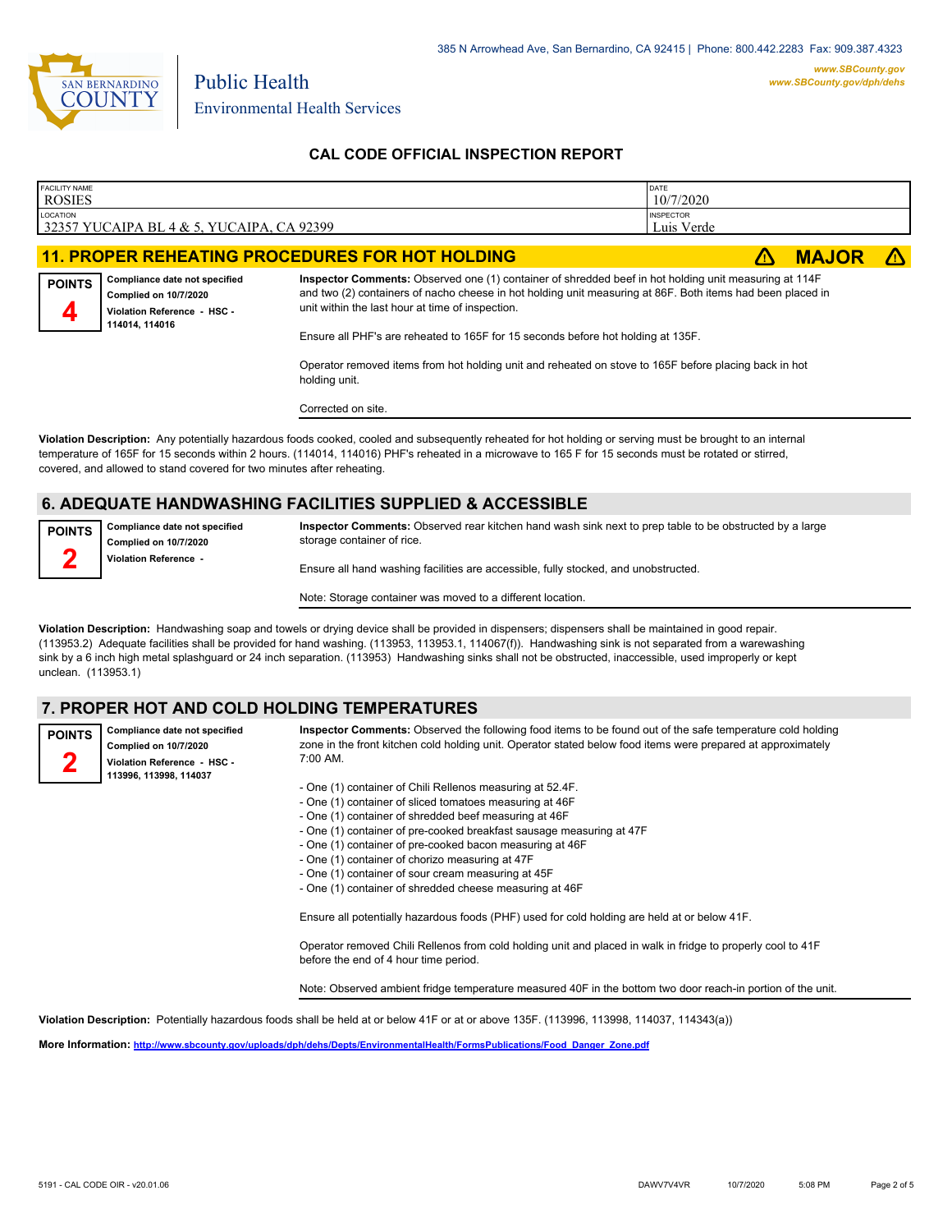

Environmental Health Services

Public Health

# **CAL CODE OFFICIAL INSPECTION REPORT**

| <b>FACILITY NAME</b><br><b>ROSIES</b>                                 | DATE<br>10/7/2020              |
|-----------------------------------------------------------------------|--------------------------------|
| LOCATION<br>32357 YUCAIPA BL 4<br>CA 92399<br>YUC.<br>™AIPA.<br>4 & 5 | <b>INSPECTOR</b><br>Luis Verde |
|                                                                       | -------                        |

# **11. PROPER REHEATING PROCEDURES FOR HOT HOLDING E MAJOR A MAJOR A**

**Complied on 10/7/2020 Violation Reference - HSC - 114014, 114016 POINTS 4**

**Compliance date not specified**

**Inspector Comments:** Observed one (1) container of shredded beef in hot holding unit measuring at 114F and two (2) containers of nacho cheese in hot holding unit measuring at 86F. Both items had been placed in unit within the last hour at time of inspection.

Ensure all PHF's are reheated to 165F for 15 seconds before hot holding at 135F.

Operator removed items from hot holding unit and reheated on stove to 165F before placing back in hot holding unit.

Corrected on site.

**Violation Description:** Any potentially hazardous foods cooked, cooled and subsequently reheated for hot holding or serving must be brought to an internal temperature of 165F for 15 seconds within 2 hours. (114014, 114016) PHF's reheated in a microwave to 165 F for 15 seconds must be rotated or stirred, covered, and allowed to stand covered for two minutes after reheating.

### **6. ADEQUATE HANDWASHING FACILITIES SUPPLIED & ACCESSIBLE**

**Compliance date not specified Complied on 10/7/2020 Violation Reference - POINTS 2 Inspector Comments:** Observed rear kitchen hand wash sink next to prep table to be obstructed by a large storage container of rice. Ensure all hand washing facilities are accessible, fully stocked, and unobstructed.

Note: Storage container was moved to a different location.

**Violation Description:** Handwashing soap and towels or drying device shall be provided in dispensers; dispensers shall be maintained in good repair. (113953.2) Adequate facilities shall be provided for hand washing. (113953, 113953.1, 114067(f)). Handwashing sink is not separated from a warewashing sink by a 6 inch high metal splashguard or 24 inch separation. (113953) Handwashing sinks shall not be obstructed, inaccessible, used improperly or kept unclean. (113953.1)

## **7. PROPER HOT AND COLD HOLDING TEMPERATURES**

**Compliance date not specified Complied on 10/7/2020 Violation Reference - HSC - 113996, 113998, 114037 POINTS 2**

**Inspector Comments:** Observed the following food items to be found out of the safe temperature cold holding zone in the front kitchen cold holding unit. Operator stated below food items were prepared at approximately 7:00 AM.

- One (1) container of Chili Rellenos measuring at 52.4F.
- One (1) container of sliced tomatoes measuring at 46F
- One (1) container of shredded beef measuring at 46F
- One (1) container of pre-cooked breakfast sausage measuring at 47F
- One (1) container of pre-cooked bacon measuring at 46F
- One (1) container of chorizo measuring at 47F
- One (1) container of sour cream measuring at 45F
- One (1) container of shredded cheese measuring at 46F

Ensure all potentially hazardous foods (PHF) used for cold holding are held at or below 41F.

Operator removed Chili Rellenos from cold holding unit and placed in walk in fridge to properly cool to 41F before the end of 4 hour time period.

Note: Observed ambient fridge temperature measured 40F in the bottom two door reach-in portion of the unit.

**Violation Description:** Potentially hazardous foods shall be held at or below 41F or at or above 135F. (113996, 113998, 114037, 114343(a))

**More Information: [http://www.sbcounty.gov/uploads/dph/dehs/Depts/EnvironmentalHealth/FormsPublications/Food\\_Danger\\_Zone.pdf](http://www.sbcounty.gov/uploads/dph/dehs/Depts/EnvironmentalHealth/FormsPublications/Food_Danger_Zone.pdf)**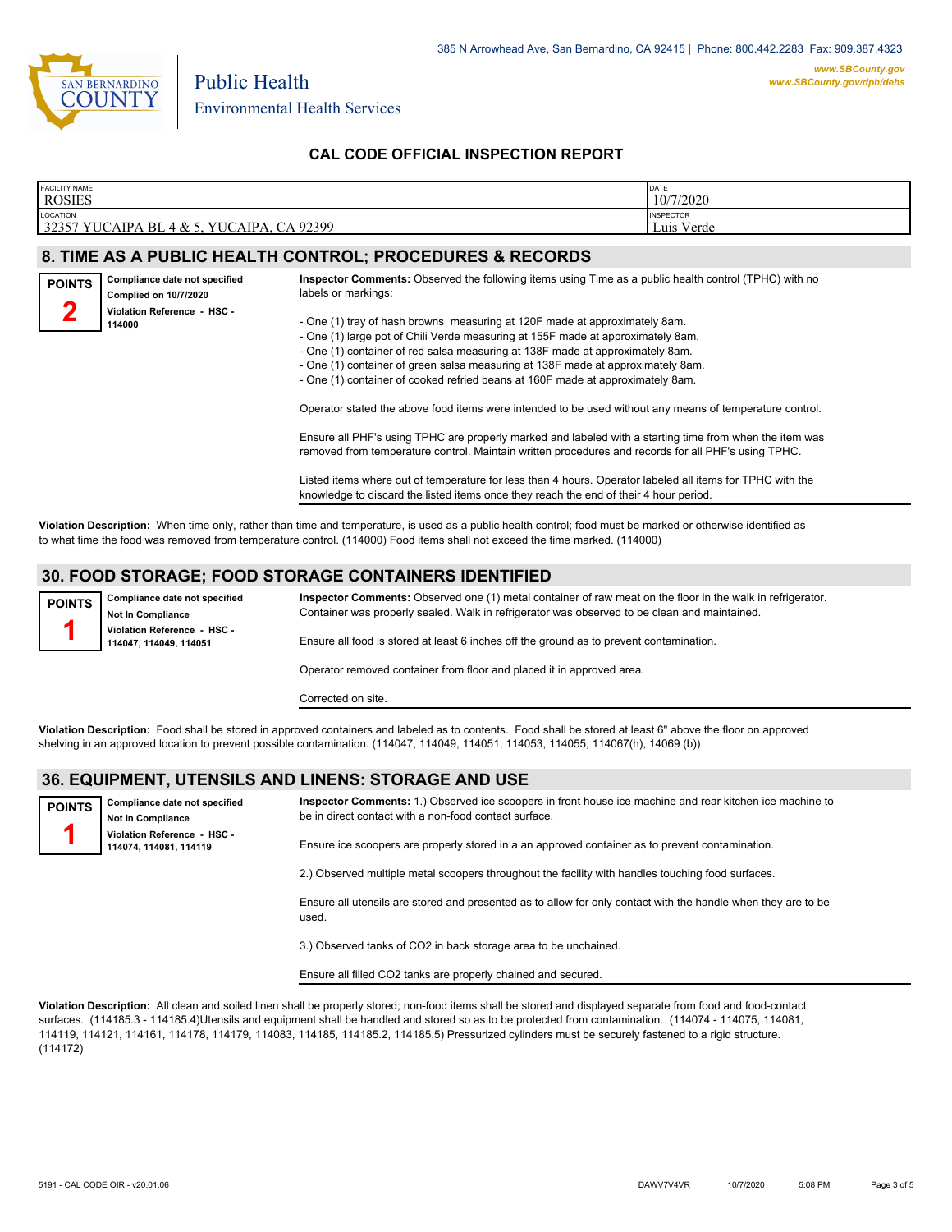

Environmental Health Services

Public Health

## **CAL CODE OFFICIAL INSPECTION REPORT**

| <b>FACILITY NAME</b>                                        | DATE                              |
|-------------------------------------------------------------|-----------------------------------|
| <b>ROSIES</b>                                               | 10/7/2020                         |
| LOCATION<br>32357 YUCAIPA BL 4 & 5,<br>CA 92399<br>YUCAIPA, | <b>INSPECTOR</b><br>Verde<br>Luis |

### **8. TIME AS A PUBLIC HEALTH CONTROL; PROCEDURES & RECORDS**

| <b>POINTS</b> | Compliance date not specified |  |  |  |
|---------------|-------------------------------|--|--|--|
|               | <b>Complied on 10/7/2020</b>  |  |  |  |
|               | Violation Reference - HSC -   |  |  |  |
|               | 114000                        |  |  |  |

- **Inspector Comments:** Observed the following items using Time as a public health control (TPHC) with no labels or markings:
	- One (1) tray of hash browns measuring at 120F made at approximately 8am.
	- One (1) large pot of Chili Verde measuring at 155F made at approximately 8am.
	- One (1) container of red salsa measuring at 138F made at approximately 8am.
	- One (1) container of green salsa measuring at 138F made at approximately 8am.
	- One (1) container of cooked refried beans at 160F made at approximately 8am.

Operator stated the above food items were intended to be used without any means of temperature control.

Ensure all PHF's using TPHC are properly marked and labeled with a starting time from when the item was removed from temperature control. Maintain written procedures and records for all PHF's using TPHC.

Listed items where out of temperature for less than 4 hours. Operator labeled all items for TPHC with the knowledge to discard the listed items once they reach the end of their 4 hour period.

**Violation Description:** When time only, rather than time and temperature, is used as a public health control; food must be marked or otherwise identified as to what time the food was removed from temperature control. (114000) Food items shall not exceed the time marked. (114000)

### **30. FOOD STORAGE; FOOD STORAGE CONTAINERS IDENTIFIED**

**Compliance date not specified Not In Compliance Violation Reference - HSC - 114047, 114049, 114051 POINTS 1 Inspector Comments:** Observed one (1) metal container of raw meat on the floor in the walk in refrigerator. Container was properly sealed. Walk in refrigerator was observed to be clean and maintained. Ensure all food is stored at least 6 inches off the ground as to prevent contamination.

Operator removed container from floor and placed it in approved area.

Corrected on site.

**Violation Description:** Food shall be stored in approved containers and labeled as to contents. Food shall be stored at least 6" above the floor on approved shelving in an approved location to prevent possible contamination. (114047, 114049, 114051, 114053, 114055, 114067(h), 14069 (b))

### **36. EQUIPMENT, UTENSILS AND LINENS: STORAGE AND USE**

| <b>POINTS</b> | Compliance date not specified<br><b>Not In Compliance</b> | Inspector Comments: 1.) Observed ice scoopers in front house ice machine and rear kitchen ice machine to<br>be in direct contact with a non-food contact surface. |
|---------------|-----------------------------------------------------------|-------------------------------------------------------------------------------------------------------------------------------------------------------------------|
|               | Violation Reference - HSC -<br>114074, 114081, 114119     | Ensure ice scoopers are properly stored in a an approved container as to prevent contamination.                                                                   |
|               |                                                           | 2.) Observed multiple metal scoopers throughout the facility with handles touching food surfaces.                                                                 |
|               |                                                           | Ensure all utensils are stored and presented as to allow for only contact with the handle when they are to be<br><b>heell</b>                                     |

3.) Observed tanks of CO2 in back storage area to be unchained.

Ensure all filled CO2 tanks are properly chained and secured.

**Violation Description:** All clean and soiled linen shall be properly stored; non-food items shall be stored and displayed separate from food and food-contact surfaces. (114185.3 - 114185.4)Utensils and equipment shall be handled and stored so as to be protected from contamination. (114074 - 114075, 114081, 114119, 114121, 114161, 114178, 114179, 114083, 114185, 114185.2, 114185.5) Pressurized cylinders must be securely fastened to a rigid structure. (114172)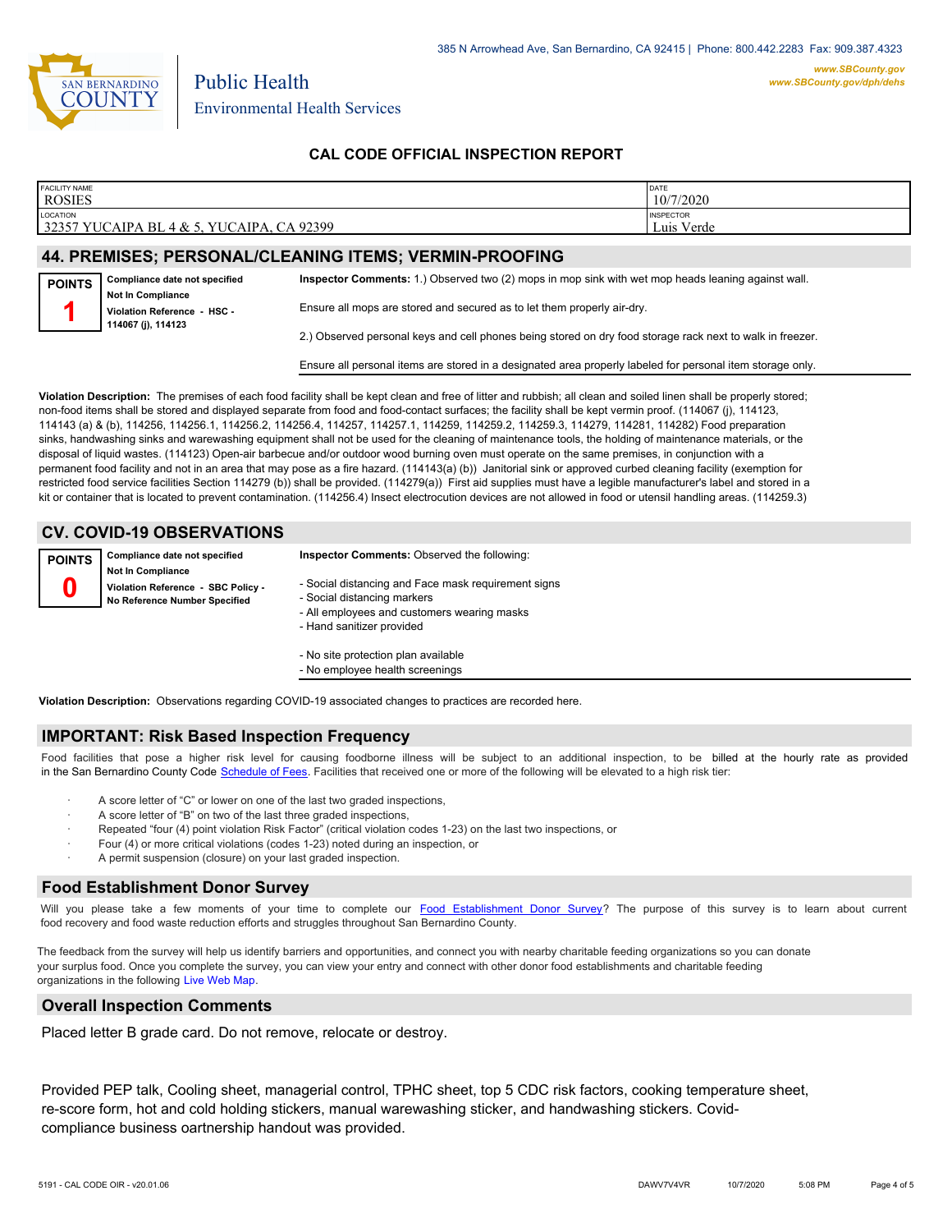

### **CAL CODE OFFICIAL INSPECTION REPORT**

| <b>FACILITY NAME</b>                                          | DATE             |  |  |
|---------------------------------------------------------------|------------------|--|--|
| <b>ROSIES</b>                                                 | 10/7/2020        |  |  |
| LOCATION                                                      | <b>INSPECTOR</b> |  |  |
| 32357 YUCAIPA BL 4 & 5, YUCAIPA, CA 92399                     | Luis Verde       |  |  |
| <b>44 BREMICEC, BERCOMALICI EAMING ITEMS, VERMIN BROOFING</b> |                  |  |  |

#### **44. PREMISES; PERSONAL/CLEANING ITEMS; VERMIN-PROOFING**

| <b>POINTS</b> | Compliance date not specified                                                 | Inspector Comments: 1.) Observed two (2) mops in mop sink with wet mop heads leaning against wall.        |
|---------------|-------------------------------------------------------------------------------|-----------------------------------------------------------------------------------------------------------|
|               | <b>Not In Compliance</b><br>Violation Reference - HSC -<br>114067 (i), 114123 | Ensure all mops are stored and secured as to let them properly air-dry.                                   |
|               |                                                                               | 2.) Observed personal keys and cell phones being stored on dry food storage rack next to walk in freezer. |

Ensure all personal items are stored in a designated area properly labeled for personal item storage only.

**Violation Description:** The premises of each food facility shall be kept clean and free of litter and rubbish; all clean and soiled linen shall be properly stored; non-food items shall be stored and displayed separate from food and food-contact surfaces; the facility shall be kept vermin proof. (114067 (j), 114123, 114143 (a) & (b), 114256, 114256.1, 114256.2, 114256.4, 114257, 114257.1, 114259, 114259.2, 114259.3, 114279, 114281, 114282) Food preparation sinks, handwashing sinks and warewashing equipment shall not be used for the cleaning of maintenance tools, the holding of maintenance materials, or the disposal of liquid wastes. (114123) Open-air barbecue and/or outdoor wood burning oven must operate on the same premises, in conjunction with a permanent food facility and not in an area that may pose as a fire hazard. (114143(a) (b)) Janitorial sink or approved curbed cleaning facility (exemption for restricted food service facilities Section 114279 (b)) shall be provided. (114279(a)) First aid supplies must have a legible manufacturer's label and stored in a kit or container that is located to prevent contamination. (114256.4) Insect electrocution devices are not allowed in food or utensil handling areas. (114259.3)

### **CV. COVID-19 OBSERVATIONS**

**Compliance date not specified Not In Compliance Violation Reference - SBC Policy - No Reference Number Specified POINTS 0**

**Inspector Comments:** Observed the following:

- Social distancing and Face mask requirement signs
- Social distancing markers
- All employees and customers wearing masks
- Hand sanitizer provided
- No site protection plan available
- No employee health screenings

**Violation Description:** Observations regarding COVID-19 associated changes to practices are recorded here.

### **IMPORTANT: Risk Based Inspection Frequency**

Food facilities that pose a higher risk level for causing foodborne illness will be subject to an additional inspection, to be billed at the hourly rate as provided in the San Bernardino Count[y Code Schedule of Fees. Facilitie](http://www.amlegal.com/nxt/gateway.dll/California/sanbernardinocounty_ca/title1governmentandadministration/division6countyfees/chapter2scheduleoffees?f=templates$fn=default.htm$3.0$vid=amlegal:sanbernardinocounty_ca$anc=JD_16.0213B)s that received one or more of the following will be elevated to a high risk tier:

- A score letter of "C" or lower on one of the last two graded inspections,
- A score letter of "B" on two of the last three graded inspections,
- Repeated "four (4) point violation Risk Factor" (critical violation codes 1-23) on the last two inspections, or
- · Four (4) or more critical violations (codes 1-23) noted during an inspection, or
- A permit suspension (closure) on your last graded inspection.

### **Food Establishment Donor Survey**

Will you please take a few moments of your time to co[mplete our Food Establishment Donor Survey?](https://survey123.arcgis.com/share/626bb0fb21674c82832b0c0d557c5e80?field:faid=FA0030958&field:facility_name=ROSIES¢er=,&field:phone=9099919037) The purpose of this survey is to learn about current food recovery and food waste reduction efforts and struggles throughout San Bernardino County.

The feedback from the survey will help us identify barriers and opportunities, and connect you with nearby charitable feeding organizations so you can donate your surplus food. Once you complete the survey, you can view your entry and connect with other donor food establishments and charitable feeding organizations in the fol[lowing Live Web Map.](https://arcg.is/WvjGb)

### **Overall Inspection Comments**

Placed letter B grade card. Do not remove, relocate or destroy.

Provided PEP talk, Cooling sheet, managerial control, TPHC sheet, top 5 CDC risk factors, cooking temperature sheet, re-score form, hot and cold holding stickers, manual warewashing sticker, and handwashing stickers. Covidcompliance business oartnership handout was provided.